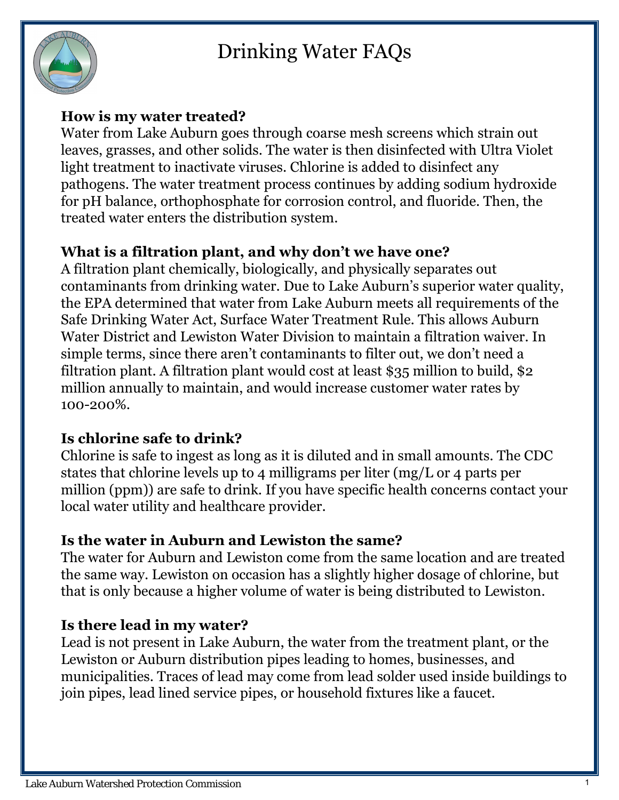# Drinking Water FAQs



#### **How is my water treated?**

Water from Lake Auburn goes through coarse mesh screens which strain out leaves, grasses, and other solids. The water is then disinfected with Ultra Violet light treatment to inactivate viruses. Chlorine is added to disinfect any pathogens. The water treatment process continues by adding sodium hydroxide for pH balance, orthophosphate for corrosion control, and fluoride. Then, the treated water enters the distribution system.

## **What is a filtration plant, and why don't we have one?**

A filtration plant chemically, biologically, and physically separates out contaminants from drinking water. Due to Lake Auburn's superior water quality, the EPA determined that water from Lake Auburn meets all requirements of the Safe Drinking Water Act, Surface Water Treatment Rule. This allows Auburn Water District and Lewiston Water Division to maintain a filtration waiver. In simple terms, since there aren't contaminants to filter out, we don't need a filtration plant. A filtration plant would cost at least \$35 million to build, \$2 million annually to maintain, and would increase customer water rates by 100-200%.

# **Is chlorine safe to drink?**

Chlorine is safe to ingest as long as it is diluted and in small amounts. The CDC states that chlorine levels up to 4 milligrams per liter (mg/L or 4 parts per million (ppm)) are safe to drink. If you have specific health concerns contact your local water utility and healthcare provider.

#### **Is the water in Auburn and Lewiston the same?**

The water for Auburn and Lewiston come from the same location and are treated the same way. Lewiston on occasion has a slightly higher dosage of chlorine, but that is only because a higher volume of water is being distributed to Lewiston.

#### **Is there lead in my water?**

Lead is not present in Lake Auburn, the water from the treatment plant, or the Lewiston or Auburn distribution pipes leading to homes, businesses, and municipalities. Traces of lead may come from lead solder used inside buildings to join pipes, lead lined service pipes, or household fixtures like a faucet.